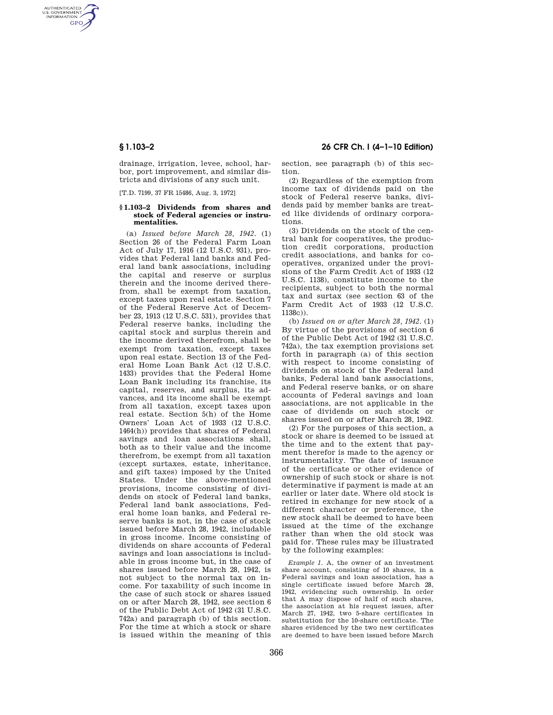AUTHENTICATED<br>U.S. GOVERNMENT<br>INFORMATION **GPO** 

> drainage, irrigation, levee, school, harbor, port improvement, and similar districts and divisions of any such unit.

[T.D. 7199, 37 FR 15486, Aug. 3, 1972]

### **§ 1.103–2 Dividends from shares and stock of Federal agencies or instrumentalities.**

(a) *Issued before March 28, 1942.* (1) Section 26 of the Federal Farm Loan Act of July 17, 1916 (12 U.S.C. 931), provides that Federal land banks and Federal land bank associations, including the capital and reserve or surplus therein and the income derived therefrom, shall be exempt from taxation, except taxes upon real estate. Section 7 of the Federal Reserve Act of December 23, 1913 (12 U.S.C. 531), provides that Federal reserve banks, including the capital stock and surplus therein and the income derived therefrom, shall be exempt from taxation, except taxes upon real estate. Section 13 of the Federal Home Loan Bank Act (12 U.S.C. 1433) provides that the Federal Home Loan Bank including its franchise, its capital, reserves, and surplus, its advances, and its income shall be exempt from all taxation, except taxes upon real estate. Section 5(h) of the Home Owners' Loan Act of 1933 (12 U.S.C. 1464(h)) provides that shares of Federal savings and loan associations shall, both as to their value and the income therefrom, be exempt from all taxation (except surtaxes, estate, inheritance, and gift taxes) imposed by the United States. Under the above-mentioned provisions, income consisting of divi-.<br>dends on stock of Federal land banks. Federal land bank associations, Federal home loan banks, and Federal reserve banks is not, in the case of stock issued before March 28, 1942, includable in gross income. Income consisting of dividends on share accounts of Federal savings and loan associations is includable in gross income but, in the case of shares issued before March 28, 1942, is not subject to the normal tax on income. For taxability of such income in the case of such stock or shares issued on or after March 28, 1942, see section 6 of the Public Debt Act of 1942 (31 U.S.C. 742a) and paragraph (b) of this section. For the time at which a stock or share is issued within the meaning of this

# **§ 1.103–2 26 CFR Ch. I (4–1–10 Edition)**

section, see paragraph (b) of this section.

(2) Regardless of the exemption from income tax of dividends paid on the stock of Federal reserve banks, dividends paid by member banks are treated like dividends of ordinary corporations.

(3) Dividends on the stock of the central bank for cooperatives, the production credit corporations, production credit associations, and banks for cooperatives, organized under the provisions of the Farm Credit Act of 1933 (12 U.S.C. 1138), constitute income to the recipients, subject to both the normal tax and surtax (see section 63 of the Farm Credit Act of 1933 (12 U.S.C. 1138c)).

(b) *Issued on or after March 28, 1942.* (1) By virtue of the provisions of section 6 of the Public Debt Act of 1942 (31 U.S.C. 742a), the tax exemption provisions set forth in paragraph (a) of this section with respect to income consisting of dividends on stock of the Federal land banks, Federal land bank associations, and Federal reserve banks, or on share accounts of Federal savings and loan associations, are not applicable in the case of dividends on such stock or shares issued on or after March 28, 1942.

(2) For the purposes of this section, a stock or share is deemed to be issued at the time and to the extent that payment therefor is made to the agency or instrumentality. The date of issuance of the certificate or other evidence of ownership of such stock or share is not determinative if payment is made at an earlier or later date. Where old stock is retired in exchange for new stock of a different character or preference, the new stock shall be deemed to have been issued at the time of the exchange rather than when the old stock was paid for. These rules may be illustrated by the following examples:

*Example 1.* A, the owner of an investment share account, consisting of 10 shares, in a Federal savings and loan association, has a single certificate issued before March 28, 1942, evidencing such ownership. In order that A may dispose of half of such shares, the association at his request issues, after March 27, 1942, two 5-share certificates in substitution for the 10-share certificate. The shares evidenced by the two new certificates are deemed to have been issued before March